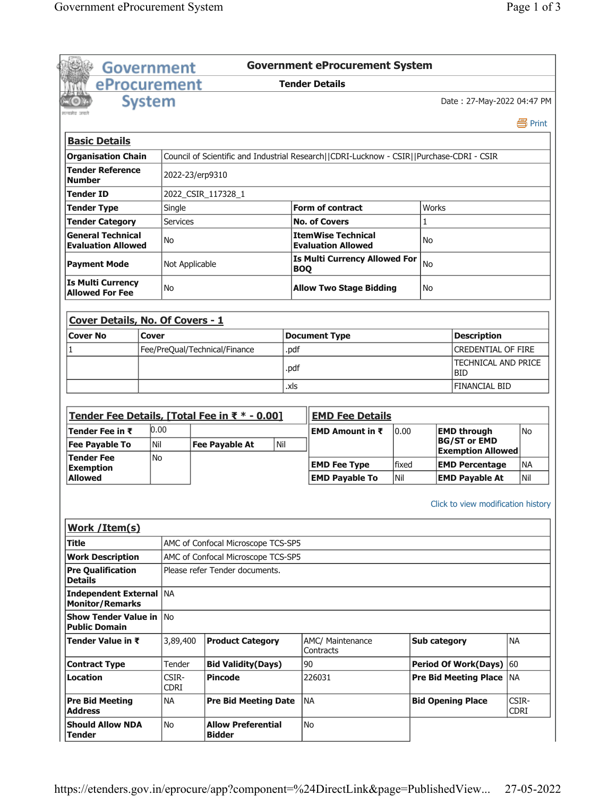|                                                                                                                                                         |               | <b>Government</b>    |                                                                      |            | <b>Government eProcurement System</b>                                                    |              |              |                                                |                      |  |
|---------------------------------------------------------------------------------------------------------------------------------------------------------|---------------|----------------------|----------------------------------------------------------------------|------------|------------------------------------------------------------------------------------------|--------------|--------------|------------------------------------------------|----------------------|--|
| eProcurement                                                                                                                                            |               |                      |                                                                      |            | <b>Tender Details</b>                                                                    |              |              |                                                |                      |  |
|                                                                                                                                                         | <b>System</b> |                      |                                                                      |            |                                                                                          |              |              | Date: 27-May-2022 04:47 PM                     |                      |  |
|                                                                                                                                                         |               |                      |                                                                      |            |                                                                                          |              |              |                                                | 昌 Print              |  |
| <b>Basic Details</b>                                                                                                                                    |               |                      |                                                                      |            |                                                                                          |              |              |                                                |                      |  |
| <b>Organisation Chain</b>                                                                                                                               |               |                      |                                                                      |            | Council of Scientific and Industrial Research  CDRI-Lucknow - CSIR  Purchase-CDRI - CSIR |              |              |                                                |                      |  |
| <b>Tender Reference</b><br><b>Number</b>                                                                                                                |               | 2022-23/erp9310      |                                                                      |            |                                                                                          |              |              |                                                |                      |  |
| Tender ID                                                                                                                                               |               |                      | 2022_CSIR_117328_1                                                   |            |                                                                                          |              |              |                                                |                      |  |
| <b>Tender Type</b>                                                                                                                                      |               | Single               |                                                                      |            | <b>Form of contract</b>                                                                  |              | Works        |                                                |                      |  |
| <b>Tender Category</b>                                                                                                                                  |               | <b>Services</b>      |                                                                      |            | <b>No. of Covers</b>                                                                     |              | 1            |                                                |                      |  |
| <b>General Technical</b><br><b>Evaluation Allowed</b>                                                                                                   |               | No                   |                                                                      |            | <b>ItemWise Technical</b><br><b>Evaluation Allowed</b>                                   |              | No           |                                                |                      |  |
| <b>Payment Mode</b>                                                                                                                                     |               | Not Applicable       |                                                                      | <b>BOQ</b> | <b>Is Multi Currency Allowed For</b>                                                     |              | <b>No</b>    |                                                |                      |  |
| <b>Is Multi Currency</b><br><b>Allowed For Fee</b>                                                                                                      |               | <b>No</b>            |                                                                      |            | <b>Allow Two Stage Bidding</b>                                                           |              | <b>No</b>    |                                                |                      |  |
| Cover Details, No. Of Covers - 1                                                                                                                        |               |                      |                                                                      |            |                                                                                          |              |              |                                                |                      |  |
| <b>Cover No</b>                                                                                                                                         | Cover         |                      |                                                                      |            | <b>Document Type</b>                                                                     |              |              | <b>Description</b>                             |                      |  |
| 1                                                                                                                                                       |               |                      | Fee/PreQual/Technical/Finance                                        | .pdf       |                                                                                          |              |              | <b>CREDENTIAL OF FIRE</b>                      |                      |  |
|                                                                                                                                                         |               |                      |                                                                      | .pdf       |                                                                                          |              |              | <b>BID</b>                                     | TECHNICAL AND PRICE  |  |
|                                                                                                                                                         |               |                      |                                                                      | .xls       |                                                                                          |              |              |                                                |                      |  |
|                                                                                                                                                         |               |                      |                                                                      |            |                                                                                          |              |              | <b>FINANCIAL BID</b>                           |                      |  |
|                                                                                                                                                         |               |                      |                                                                      |            |                                                                                          |              |              |                                                |                      |  |
|                                                                                                                                                         |               |                      | Tender Fee Details, [Total Fee in ₹ * - 0.00]                        |            | <b>EMD Fee Details</b>                                                                   |              |              |                                                |                      |  |
| Tender Fee in $\bar{\tau}$                                                                                                                              | 0.00          |                      |                                                                      |            | <b>EMD Amount in <math>\bar{x}</math></b>                                                | 0.00         |              | <b>EMD through</b>                             | No                   |  |
| <b>Fee Payable To</b>                                                                                                                                   | Nil           |                      | Nil<br><b>Fee Payable At</b>                                         |            |                                                                                          |              |              | <b>BG/ST or EMD</b>                            |                      |  |
| <b>Tender Fee</b>                                                                                                                                       | No            |                      |                                                                      |            |                                                                                          |              |              | <b>Exemption Allowed</b>                       |                      |  |
| <b>Exemption</b><br><b>Allowed</b>                                                                                                                      |               |                      |                                                                      |            | <b>EMD Fee Type</b><br><b>EMD Pavable To</b>                                             | fixed<br>Nil |              | <b>EMD Percentage</b><br><b>EMD Payable At</b> | <b>NA</b><br>Nil     |  |
|                                                                                                                                                         |               |                      |                                                                      |            |                                                                                          |              |              | Click to view modification history             |                      |  |
|                                                                                                                                                         |               |                      |                                                                      |            |                                                                                          |              |              |                                                |                      |  |
|                                                                                                                                                         |               |                      | AMC of Confocal Microscope TCS-SP5                                   |            |                                                                                          |              |              |                                                |                      |  |
|                                                                                                                                                         |               |                      | AMC of Confocal Microscope TCS-SP5<br>Please refer Tender documents. |            |                                                                                          |              |              |                                                |                      |  |
| Work / Item(s)<br>Title<br><b>Work Description</b><br><b>Pre Qualification</b><br><b>Details</b><br>Independent External   NA<br><b>Monitor/Remarks</b> |               |                      |                                                                      |            |                                                                                          |              |              |                                                |                      |  |
| <b>Show Tender Value in INO</b><br><b>Public Domain</b>                                                                                                 |               |                      |                                                                      |            |                                                                                          |              |              |                                                |                      |  |
|                                                                                                                                                         |               | 3,89,400             | <b>Product Category</b>                                              |            | AMC/ Maintenance<br>Contracts                                                            |              | Sub category |                                                | <b>NA</b>            |  |
|                                                                                                                                                         |               | Tender               | <b>Bid Validity(Days)</b>                                            |            | 90                                                                                       |              |              | <b>Period Of Work(Days)</b>                    | 60                   |  |
| Tender Value in ₹<br><b>Contract Type</b><br><b>Location</b>                                                                                            |               | CSIR-<br><b>CDRI</b> | <b>Pincode</b>                                                       |            | 226031                                                                                   |              |              | <b>Pre Bid Meeting Place</b>                   | <b>NA</b>            |  |
| <b>Pre Bid Meeting</b><br><b>Address</b>                                                                                                                |               | <b>NA</b>            | <b>Pre Bid Meeting Date</b>                                          |            | INA                                                                                      |              |              | <b>Bid Opening Place</b>                       | CSIR-<br><b>CDRI</b> |  |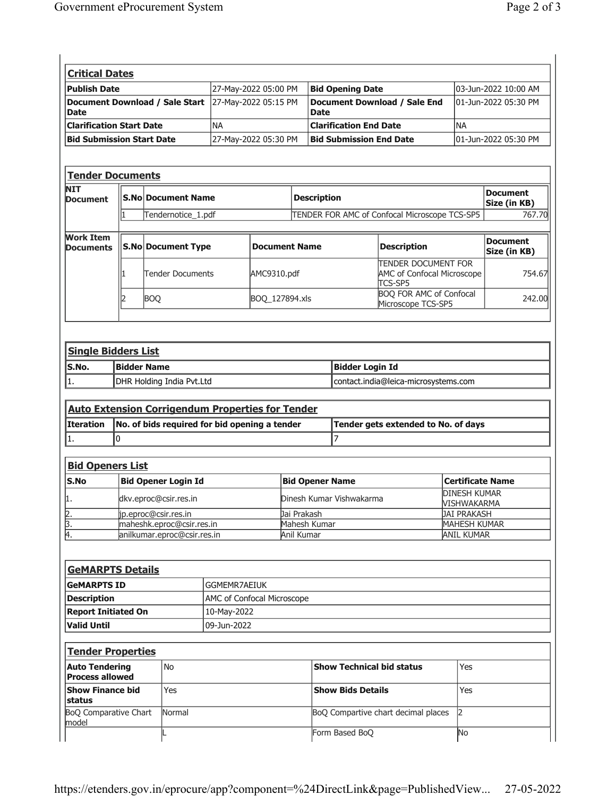| <b>Critical Dates</b>                           |                           |                                                                                                          |                            |                          |                               |                                                    |                                                                     |                                   |                                 |  |
|-------------------------------------------------|---------------------------|----------------------------------------------------------------------------------------------------------|----------------------------|--------------------------|-------------------------------|----------------------------------------------------|---------------------------------------------------------------------|-----------------------------------|---------------------------------|--|
| <b>Publish Date</b>                             |                           |                                                                                                          |                            | 27-May-2022 05:00 PM     |                               | <b>Bid Opening Date</b>                            |                                                                     |                                   | 03-Jun-2022 10:00 AM            |  |
| <b>Document Download / Sale Start</b><br>Date   |                           |                                                                                                          |                            | 27-May-2022 05:15 PM     |                               | <b>Document Download / Sale End</b><br><b>Date</b> |                                                                     |                                   | 01-Jun-2022 05:30 PM            |  |
| <b>Clarification Start Date</b>                 |                           |                                                                                                          | <b>NA</b>                  |                          | <b>Clarification End Date</b> |                                                    | <b>NA</b>                                                           |                                   |                                 |  |
| <b>Bid Submission Start Date</b>                |                           |                                                                                                          |                            | 27-May-2022 05:30 PM     |                               | <b>Bid Submission End Date</b>                     |                                                                     |                                   | 01-Jun-2022 05:30 PM            |  |
|                                                 |                           |                                                                                                          |                            |                          |                               |                                                    |                                                                     |                                   |                                 |  |
|                                                 |                           |                                                                                                          |                            |                          |                               |                                                    |                                                                     |                                   |                                 |  |
| <b>Tender Documents</b><br><b>NIT</b>           |                           |                                                                                                          |                            |                          |                               |                                                    |                                                                     |                                   |                                 |  |
| <b>Document</b>                                 | <b>S.No Document Name</b> |                                                                                                          |                            |                          |                               | <b>Description</b>                                 |                                                                     |                                   | <b>Document</b><br>Size (in KB) |  |
|                                                 | 1                         | Tendernotice_1.pdf                                                                                       |                            |                          |                               | TENDER FOR AMC of Confocal Microscope TCS-SP5      |                                                                     |                                   | 767.70                          |  |
| <b>Work Item</b>                                |                           |                                                                                                          |                            |                          |                               |                                                    |                                                                     |                                   |                                 |  |
| <b>Documents</b>                                |                           | <b>S.No Document Type</b>                                                                                |                            | <b>Document Name</b>     |                               |                                                    | <b>Description</b>                                                  |                                   | <b>Document</b><br>Size (in KB) |  |
|                                                 | ı                         | Tender Documents                                                                                         |                            | AMC9310.pdf              |                               |                                                    | <b>TENDER DOCUMENT FOR</b><br>AMC of Confocal Microscope<br>TCS-SP5 |                                   | 754.67                          |  |
|                                                 | 2                         | <b>BOQ</b>                                                                                               |                            | BOQ_127894.xls           |                               |                                                    | <b>BOQ FOR AMC of Confocal</b><br>Microscope TCS-SP5                |                                   | 242.00                          |  |
|                                                 |                           |                                                                                                          |                            |                          |                               |                                                    |                                                                     |                                   |                                 |  |
| <b>Single Bidders List</b><br>S.No.             |                           | <b>Bidder Name</b>                                                                                       |                            |                          |                               | <b>Bidder Login Id</b>                             |                                                                     |                                   |                                 |  |
| 1.                                              |                           | DHR Holding India Pvt.Ltd                                                                                |                            |                          |                               |                                                    | contact.india@leica-microsystems.com                                |                                   |                                 |  |
| <b>Iteration</b><br>1.                          | 0                         | <b>Auto Extension Corrigendum Properties for Tender</b><br>No. of bids required for bid opening a tender |                            |                          |                               | $\overline{7}$                                     | Tender gets extended to No. of days                                 |                                   |                                 |  |
|                                                 |                           |                                                                                                          |                            |                          |                               |                                                    |                                                                     |                                   |                                 |  |
| <b>Bid Openers List</b>                         |                           |                                                                                                          |                            |                          |                               |                                                    |                                                                     |                                   |                                 |  |
| S.No                                            |                           | <b>Bid Opener Login Id</b>                                                                               |                            | <b>Bid Opener Name</b>   |                               |                                                    | <b>Certificate Name</b><br><b>DINESH KUMAR</b>                      |                                   |                                 |  |
| 1.                                              |                           | dkv.eproc@csir.res.in                                                                                    |                            | Dinesh Kumar Vishwakarma |                               |                                                    | VISHWAKARMA                                                         |                                   |                                 |  |
|                                                 |                           | jp.eproc@csir.res.in                                                                                     |                            | Jai Prakash              |                               |                                                    | <b>JAI PRAKASH</b>                                                  |                                   |                                 |  |
| $\frac{2}{3}$ .<br>4.                           |                           | maheshk.eproc@csir.res.in<br>anilkumar.eproc@csir.res.in                                                 |                            |                          |                               | Mahesh Kumar<br>Anil Kumar                         |                                                                     | MAHESH KUMAR<br><b>ANIL KUMAR</b> |                                 |  |
|                                                 |                           |                                                                                                          |                            |                          |                               |                                                    |                                                                     |                                   |                                 |  |
| <b>GeMARPTS Details</b>                         |                           |                                                                                                          |                            |                          |                               |                                                    |                                                                     |                                   |                                 |  |
| <b>GeMARPTS ID</b>                              |                           |                                                                                                          | GGMEMR7AEIUK               |                          |                               |                                                    |                                                                     |                                   |                                 |  |
| <b>Description</b>                              |                           |                                                                                                          | AMC of Confocal Microscope |                          |                               |                                                    |                                                                     |                                   |                                 |  |
| <b>Report Initiated On</b>                      |                           |                                                                                                          | 10-May-2022                |                          |                               |                                                    |                                                                     |                                   |                                 |  |
| <b>Valid Until</b>                              |                           |                                                                                                          | 09-Jun-2022                |                          |                               |                                                    |                                                                     |                                   |                                 |  |
| <b>Tender Properties</b>                        |                           |                                                                                                          |                            |                          |                               |                                                    |                                                                     |                                   |                                 |  |
| <b>Auto Tendering</b><br><b>Process allowed</b> |                           | No                                                                                                       |                            |                          |                               | <b>Show Technical bid status</b>                   |                                                                     | Yes                               |                                 |  |
| <b>Show Finance bid</b><br>status               |                           | Yes                                                                                                      |                            |                          |                               | <b>Show Bids Details</b>                           |                                                                     | Yes                               |                                 |  |
| <b>BoQ Comparative Chart</b><br>model           |                           | Normal                                                                                                   |                            |                          |                               |                                                    | BoQ Compartive chart decimal places                                 | $\overline{2}$                    |                                 |  |
|                                                 |                           |                                                                                                          |                            |                          |                               | Form Based BoQ                                     |                                                                     | No                                |                                 |  |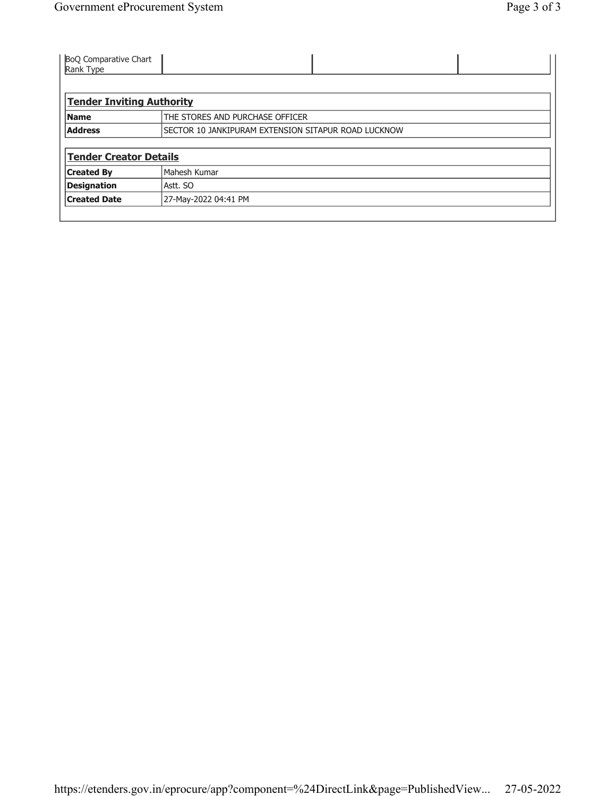| <b>BoQ Comparative Chart</b><br>Rank Type |                                                     |
|-------------------------------------------|-----------------------------------------------------|
|                                           |                                                     |
| <b>Tender Inviting Authority</b>          |                                                     |
| <b>Name</b>                               | THE STORES AND PURCHASE OFFICER                     |
| <b>Address</b>                            | SECTOR 10 JANKIPURAM EXTENSION SITAPUR ROAD LUCKNOW |
|                                           |                                                     |
| <b>Tender Creator Details</b>             |                                                     |
| <b>Created By</b>                         | Mahesh Kumar                                        |
| <b>Designation</b>                        | Astt. SO                                            |
| <b>Created Date</b>                       | 27-May-2022 04:41 PM                                |
|                                           |                                                     |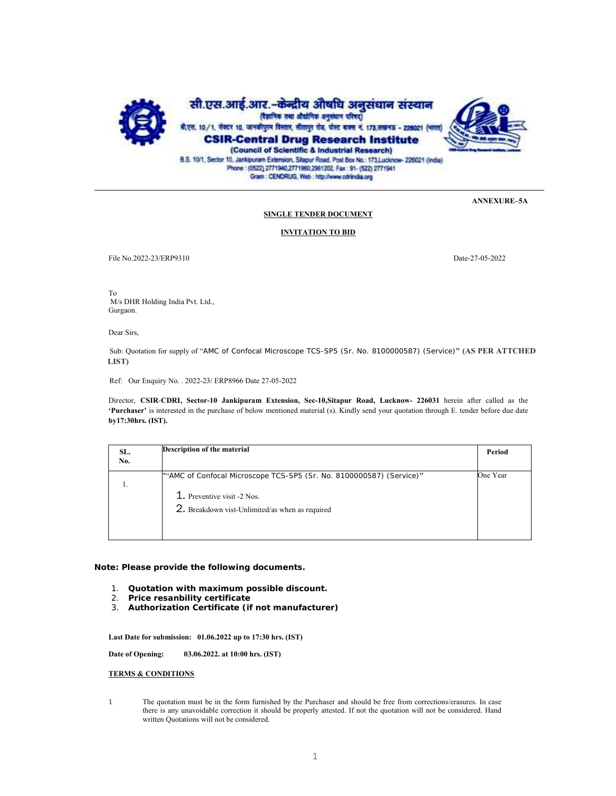

B.S. 10/1, Sector 10, Jankipuram Extension, Sitapur Road, Post Box No.: 173, Lucknow- 226021 (India)<br>Phone: (0522) 2771940, 271960, 2961 202, Fax: 91- (522) 2771941 Gram : CENDRUG, Web : http://www.odrindia.org

**ANNEXURE–5A** 

### **SINGLE TENDER DOCUMENT**

### **INVITATION TO BID**

File No.2022-23/ERP9310 Date-27-05-2022

To M/s DHR Holding India Pvt. Ltd., Gurgaon.

Dear Sirs,

 Sub: Quotation for supply of "AMC of Confocal Microscope TCS-SP5 (Sr. No. 8100000587) (Service)**" (AS PER ATTCHED LIST)**

Ref: Our Enquiry No. . 2022-23/ ERP8966 Date 27-05-2022

Director, **CSIR**-**CDRI, Sector-10 Jankipuram Extension, Sec-10,Sitapur Road, Lucknow- 226031** herein after called as the **'Purchaser'** is interested in the purchase of below mentioned material (s). Kindly send your quotation through E. tender before due date **by17:30hrs. (IST).** 

| SL.<br>No. | Description of the material                                                                                                                            | Period   |
|------------|--------------------------------------------------------------------------------------------------------------------------------------------------------|----------|
|            | ""AMC of Confocal Microscope TCS-SP5 (Sr. No. 8100000587) (Service)"<br>1. Preventive visit -2 Nos.<br>2. Breakdown vist-Unlimited/as when as required | One Year |

**Note: Please provide the following documents.** 

- 1. **Quotation with maximum possible discount.**
- 2. **Price resanbility certificate**
- 3. **Authorization Certificate (if not manufacturer)**

**Last Date for submission: 01.06.2022 up to 17:30 hrs. (IST)** 

**Date of Opening: 03.06.2022. at 10:00 hrs. (IST)** 

**TERMS & CONDITIONS** 

1. The quotation must be in the form furnished by the Purchaser and should be free from corrections/erasures. In case there is any unavoidable correction it should be properly attested. If not the quotation will not be considered. Hand written Quotations will not be considered.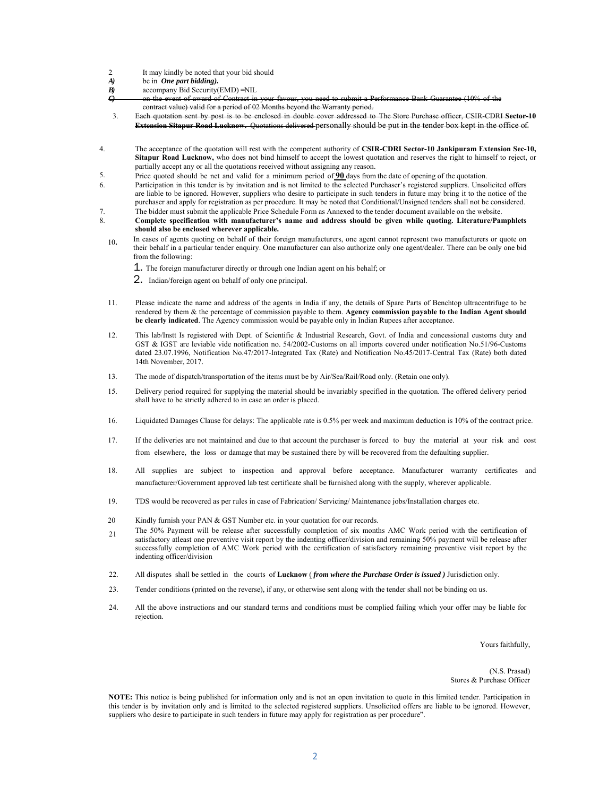- 2. It may kindly be noted that your bid should  $A$ ) be in **One part bidding**).
- *A)* be in *One part bidding).*
- *B*) accompany Bid Security(EMD) =NIL
- *C*) on the event of award of Contract in contract value) valid for a period of 02 Months beyond the Warranty period.
- 3. Each quotation sent by post is to be enclosed in double cover addressed to The Store Purchase officer, CSIR-CDRI **Sector-10 Extension Sitapur Road Lucknow.** Quotations delivered personally should be put in the tender box kept in the office of.
- 4. The acceptance of the quotation will rest with the competent authority of **CSIR-CDRI Sector-10 Jankipuram Extension Sec-10, Sitapur Road Lucknow,** who does not bind himself to accept the lowest quotation and reserves the right to himself to reject, or partially accept any or all the quotations received without assigning any reason.
- 5. Price quoted should be net and valid for a minimum period of **90** days from the date of opening of the quotation.
- 6. Participation in this tender is by invitation and is not limited to the selected Purchaser's registered suppliers. Unsolicited offers are liable to be ignored. However, suppliers who desire to participate in such tenders in future may bring it to the notice of the purchaser and apply for registration as per procedure. It may be noted that Conditional/Unsigned tenders shall not be considered.
- 7. The bidder must submit the applicable Price Schedule Form as Annexed to the tender document available on the website.<br>8. Complete specification with manufacturer's name and address should be given while quoting. Literat 8. **Complete specification with manufacturer's name and address should be given while quoting. Literature/Pamphlets should also be enclosed wherever applicable.** 
	- <sup>10</sup>**.** In cases of agents quoting on behalf of their foreign manufacturers, one agent cannot represent two manufacturers or quote on their behalf in a particular tender enquiry. One manufacturer can also authorize only one agent/dealer. There can be only one bid from the following:
		- 1. The foreign manufacturer directly or through one Indian agent on his behalf; or
		- 2. Indian/foreign agent on behalf of only one principal.
	- 11. Please indicate the name and address of the agents in India if any, the details of Spare Parts of Benchtop ultracentrifuge to be rendered by them & the percentage of commission payable to them. **Agency commission payable to the Indian Agent should be clearly indicated**. The Agency commission would be payable only in Indian Rupees after acceptance.
	- 12. This lab/Instt Is registered with Dept. of Scientific & Industrial Research, Govt. of India and concessional customs duty and GST & IGST are leviable vide notification no. 54/2002-Customs on all imports covered under notification No.51/96-Customs dated 23.07.1996, Notification No.47/2017-Integrated Tax (Rate) and Notification No.45/2017-Central Tax (Rate) both dated 14th November, 2017.
	- 13. The mode of dispatch/transportation of the items must be by Air/Sea/Rail/Road only. (Retain one only).
	- 15. Delivery period required for supplying the material should be invariably specified in the quotation. The offered delivery period shall have to be strictly adhered to in case an order is placed.
	- 16. Liquidated Damages Clause for delays: The applicable rate is 0.5% per week and maximum deduction is 10% of the contract price.
	- 17. If the deliveries are not maintained and due to that account the purchaser is forced to buy the material at your risk and cost from elsewhere, the loss or damage that may be sustained there by will be recovered from the defaulting supplier.
	- 18. All supplies are subject to inspection and approval before acceptance. Manufacturer warranty certificates and manufacturer/Government approved lab test certificate shall be furnished along with the supply, wherever applicable.
	- 19. TDS would be recovered as per rules in case of Fabrication/ Servicing/ Maintenance jobs/Installation charges etc.
	- 20 Kindly furnish your PAN & GST Number etc. in your quotation for our records.
	- 21 The 50% Payment will be release after successfully completion of six months AMC Work period with the certification of satisfactory atleast one preventive visit report by the indenting officer/division and remaining 50% payment will be release after successfully completion of AMC Work period with the certification of satisfactory remaining preventive visit report by the indenting officer/division
	- 22. All disputes shall be settled in the courts of **Lucknow** ( *from where the Purchase Order is issued )* Jurisdiction only.
	- 23. Tender conditions (printed on the reverse), if any, or otherwise sent along with the tender shall not be binding on us.
	- 24. All the above instructions and our standard terms and conditions must be complied failing which your offer may be liable for rejection.

Yours faithfully,

(N.S. Prasad) Stores & Purchase Officer

**NOTE:** This notice is being published for information only and is not an open invitation to quote in this limited tender. Participation in this tender is by invitation only and is limited to the selected registered suppliers. Unsolicited offers are liable to be ignored. However, suppliers who desire to participate in such tenders in future may apply for registration as per procedure".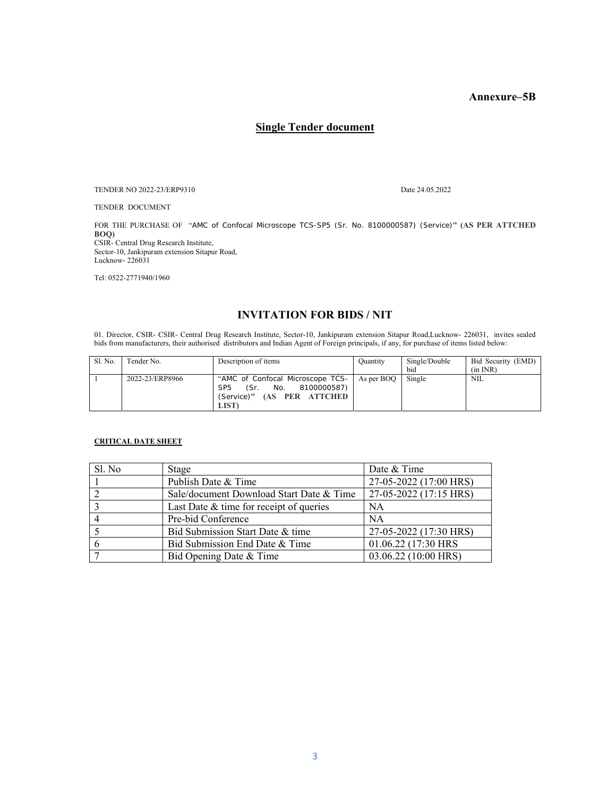## **Annexure–5B**

# **Single Tender document**

TENDER NO 2022-23/ERP9310 Date 24.05.2022

TENDER DOCUMENT

FOR THE PURCHASE OF "AMC of Confocal Microscope TCS-SP5 (Sr. No. 8100000587) (Service)**" (AS PER ATTCHED BOQ)** CSIR- Central Drug Research Institute,

Sector-10, Jankipuram extension Sitapur Road, Lucknow- 226031

Tel: 0522-2771940/1960

# **INVITATION FOR BIDS / NIT**

01. Director, CSIR- CSIR- Central Drug Research Institute, Sector-10, Jankipuram extension Sitapur Road,Lucknow- 226031, invites sealed bids from manufacturers, their authorised distributors and Indian Agent of Foreign principals, if any, for purchase of items listed below:

| Sl. No. | Tender No.      | Description of items                                                                                                                      | Quantity | Single/Double<br>bid | Bid Security (EMD)<br>(in INR) |
|---------|-----------------|-------------------------------------------------------------------------------------------------------------------------------------------|----------|----------------------|--------------------------------|
|         | 2022-23/ERP8966 | "AMC of Confocal Microscope TCS-   As per BOQ  <br>(Sr. No. 8100000587)<br>SP <sub>5</sub><br>(Service)" (AS PER ATTCHED<br><b>LIST</b> ) |          | Single               | NIL                            |

### **CRITICAL DATE SHEET**

| Sl. No | Stage                                     | Date & Time            |
|--------|-------------------------------------------|------------------------|
|        | Publish Date & Time                       | 27-05-2022 (17:00 HRS) |
|        | Sale/document Download Start Date & Time  | 27-05-2022 (17:15 HRS) |
|        | Last Date $&$ time for receipt of queries | <b>NA</b>              |
|        | Pre-bid Conference                        | <b>NA</b>              |
|        | Bid Submission Start Date & time          | 27-05-2022 (17:30 HRS) |
|        | Bid Submission End Date & Time            | 01.06.22 (17:30 HRS)   |
|        | Bid Opening Date & Time                   | 03.06.22 (10:00 HRS)   |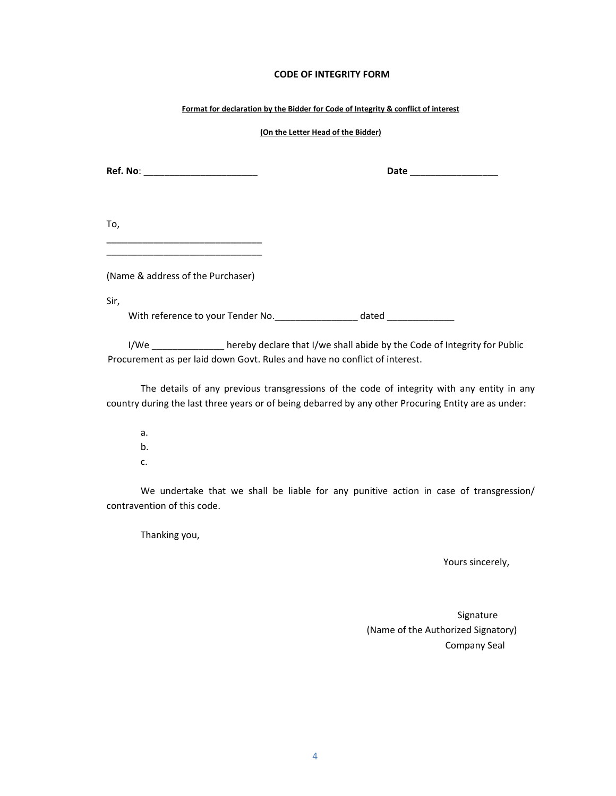## **CODE OF INTEGRITY FORM**

### **Format for declaration by the Bidder for Code of Integrity & conflict of interest**

### **(On the Letter Head of the Bidder)**

**Ref. No**: \_\_\_\_\_\_\_\_\_\_\_\_\_\_\_\_\_\_\_\_\_\_ **Date** \_\_\_\_\_\_\_\_\_\_\_\_\_\_\_\_\_

| To, |  |  |
|-----|--|--|
|     |  |  |

(Name & address of the Purchaser)

\_\_\_\_\_\_\_\_\_\_\_\_\_\_\_\_\_\_\_\_\_\_\_\_\_\_\_\_\_\_

Sir,

With reference to your Tender No. The match of dated dated  $\sim$ 

I/We \_\_\_\_\_\_\_\_\_\_\_\_\_\_ hereby declare that I/we shall abide by the Code of Integrity for Public Procurement as per laid down Govt. Rules and have no conflict of interest.

The details of any previous transgressions of the code of integrity with any entity in any country during the last three years or of being debarred by any other Procuring Entity are as under:

a. b. c.

We undertake that we shall be liable for any punitive action in case of transgression/ contravention of this code.

Thanking you,

Yours sincerely,

Signature (Name of the Authorized Signatory) Company Seal